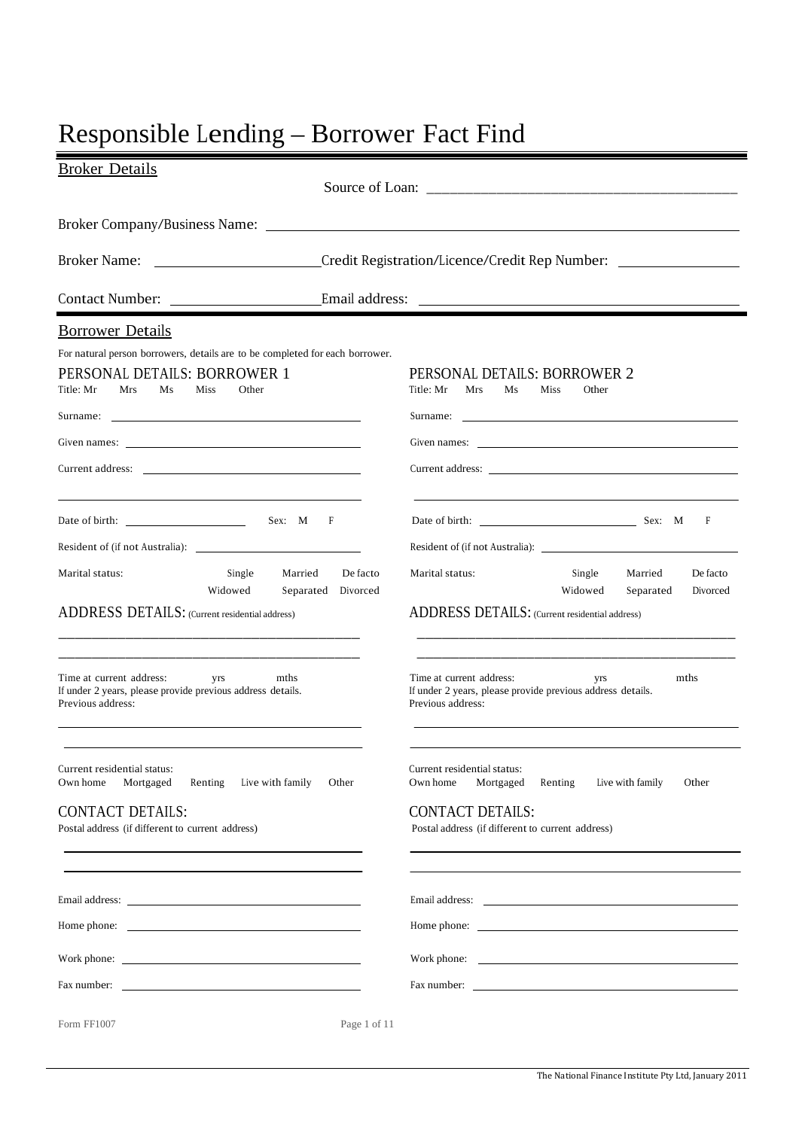# Responsible Lending – Borrower Fact Find

| <b>Broker Details</b>                                                                                                                                                                                                                              |                                                                                                                                                                                                                                |
|----------------------------------------------------------------------------------------------------------------------------------------------------------------------------------------------------------------------------------------------------|--------------------------------------------------------------------------------------------------------------------------------------------------------------------------------------------------------------------------------|
|                                                                                                                                                                                                                                                    |                                                                                                                                                                                                                                |
|                                                                                                                                                                                                                                                    |                                                                                                                                                                                                                                |
| <b>Broker Name:</b><br><u> 1990 - John Stein, mars and de Branch and de Branch and de Branch and de Branch and de Branch and de Branch an</u>                                                                                                      | Credit Registration/Licence/Credit Rep Number:                                                                                                                                                                                 |
| Contact Number:                                                                                                                                                                                                                                    |                                                                                                                                                                                                                                |
| <b>Borrower Details</b>                                                                                                                                                                                                                            |                                                                                                                                                                                                                                |
| For natural person borrowers, details are to be completed for each borrower.                                                                                                                                                                       |                                                                                                                                                                                                                                |
| PERSONAL DETAILS: BORROWER 1                                                                                                                                                                                                                       | PERSONAL DETAILS: BORROWER 2                                                                                                                                                                                                   |
| Title: Mr<br>Mrs<br>Miss<br>Other<br>Ms                                                                                                                                                                                                            | Title: Mr<br>Mrs<br>Ms<br>Miss<br>Other                                                                                                                                                                                        |
|                                                                                                                                                                                                                                                    |                                                                                                                                                                                                                                |
| Given names:                                                                                                                                                                                                                                       | Given names: Given the contract of the contract of the contract of the contract of the contract of the contract of the contract of the contract of the contract of the contract of the contract of the contract of the contrac |
|                                                                                                                                                                                                                                                    | Current address:                                                                                                                                                                                                               |
| Date of birth:<br>Sex: M F                                                                                                                                                                                                                         | Date of birth: <u>Chambridge Base</u> Sex: M<br>F                                                                                                                                                                              |
|                                                                                                                                                                                                                                                    |                                                                                                                                                                                                                                |
| Marital status:<br>Single<br>De facto<br>Married<br>Widowed<br>Separated Divorced                                                                                                                                                                  | Marital status:<br>Single<br>De facto<br>Married<br>Widowed<br>Separated<br>Divorced                                                                                                                                           |
| ADDRESS DETAILS: (Current residential address)<br><u> 1989 - Johann John Harrison, mars and de la propinsion de la propinsion de la propinsion de la propinsion de</u>                                                                             | ADDRESS DETAILS: (Current residential address)                                                                                                                                                                                 |
| <u> 1999 - Johann John Harry Harry Harry Harry Harry Harry Harry Harry Harry Harry Harry Harry Harry Harry Harry</u><br>Time at current address:<br>mths<br>yrs<br>If under 2 years, please provide previous address details.<br>Previous address: | Time at current address:<br>mths<br>yrs<br>If under 2 years, please provide previous address details.<br>Previous address:                                                                                                     |
| Current residential status:<br>Live with family<br>Own home<br>Mortgaged<br>Renting<br>Other                                                                                                                                                       | Current residential status:<br>Own home<br>Mortgaged<br>Renting<br>Live with family<br>Other                                                                                                                                   |
| <b>CONTACT DETAILS:</b><br>Postal address (if different to current address)                                                                                                                                                                        | <b>CONTACT DETAILS:</b><br>Postal address (if different to current address)                                                                                                                                                    |
|                                                                                                                                                                                                                                                    |                                                                                                                                                                                                                                |
| Home phone: <u>the contract of the contract of the contract of the contract of the contract of the contract of the contract of the contract of the contract of the contract of the contract of the contract of the contract of t</u>               |                                                                                                                                                                                                                                |
|                                                                                                                                                                                                                                                    | Work phone: The contract of the contract of the contract of the contract of the contract of the contract of the contract of the contract of the contract of the contract of the contract of the contract of the contract of th |
| Fax number:                                                                                                                                                                                                                                        | Fax number:                                                                                                                                                                                                                    |
| Form FF1007<br>Page 1 of 11                                                                                                                                                                                                                        |                                                                                                                                                                                                                                |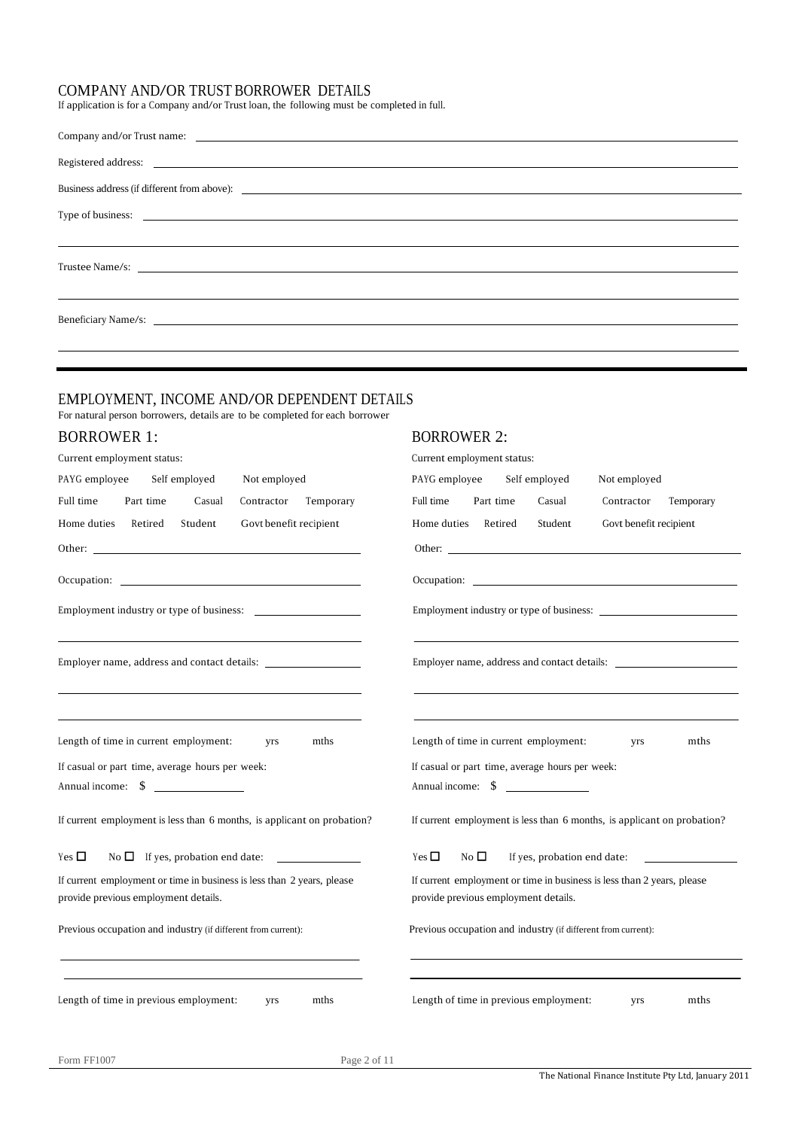## COMPANY AND/OR TRUST BORROWER DETAILS

If application is for a Company and/or Trust loan, the following must be completed in full.

| Registered address: <u>example and a series</u> and a series of the series of the series of the series of the series of the series of the series of the series of the series of the series of the series of the series of the serie  |
|--------------------------------------------------------------------------------------------------------------------------------------------------------------------------------------------------------------------------------------|
|                                                                                                                                                                                                                                      |
| Type of business: <u>example and the set of the set of the set of the set of the set of the set of the set of the set of the set of the set of the set of the set of the set of the set of the set of the set of the set of the </u> |
|                                                                                                                                                                                                                                      |
|                                                                                                                                                                                                                                      |
|                                                                                                                                                                                                                                      |
|                                                                                                                                                                                                                                      |

## EMPLOYMENT, INCOME AND/OR DEPENDENT DETAILS

For natural person borrowers, details are to be completed for each borrower

## BORROWER 1: BORROWER 2:

| Current employment status:                                                                                                                                                                                                     | Current employment status:                                                                                                                         |  |  |  |  |  |
|--------------------------------------------------------------------------------------------------------------------------------------------------------------------------------------------------------------------------------|----------------------------------------------------------------------------------------------------------------------------------------------------|--|--|--|--|--|
| PAYG employee<br>Self employed<br>Not employed                                                                                                                                                                                 | PAYG employee<br>Self employed<br>Not employed                                                                                                     |  |  |  |  |  |
| Full time<br>Part time<br>Contractor Temporary<br>Casual                                                                                                                                                                       | Full time<br>Part time<br>Casual<br>Contractor<br>Temporary                                                                                        |  |  |  |  |  |
| Home duties Retired<br>Student<br>Govt benefit recipient                                                                                                                                                                       | Student<br>Govt benefit recipient<br>Home duties Retired                                                                                           |  |  |  |  |  |
|                                                                                                                                                                                                                                |                                                                                                                                                    |  |  |  |  |  |
| Occupation: the contract of the contract of the contract of the contract of the contract of the contract of the contract of the contract of the contract of the contract of the contract of the contract of the contract of th |                                                                                                                                                    |  |  |  |  |  |
| Employment industry or type of business:                                                                                                                                                                                       | Employment industry or type of business:                                                                                                           |  |  |  |  |  |
|                                                                                                                                                                                                                                |                                                                                                                                                    |  |  |  |  |  |
| Length of time in current employment:<br>mths<br><b>Vrs</b><br>If casual or part time, average hours per week:<br>Annual income: $\quad \quad \text{\AA}$                                                                      | Length of time in current employment:<br>mths<br>yrs<br>If casual or part time, average hours per week:<br>Annual income: $\quad \quad \text{\AA}$ |  |  |  |  |  |
| If current employment is less than 6 months, is applicant on probation?                                                                                                                                                        | If current employment is less than 6 months, is applicant on probation?                                                                            |  |  |  |  |  |
| Yes $\Box$                                                                                                                                                                                                                     | Yes $\Box$<br>No $\Box$<br>If yes, probation end date:                                                                                             |  |  |  |  |  |
| If current employment or time in business is less than 2 years, please<br>provide previous employment details.                                                                                                                 | If current employment or time in business is less than 2 years, please<br>provide previous employment details.                                     |  |  |  |  |  |
| Previous occupation and industry (if different from current):                                                                                                                                                                  | Previous occupation and industry (if different from current):                                                                                      |  |  |  |  |  |
|                                                                                                                                                                                                                                |                                                                                                                                                    |  |  |  |  |  |
| Length of time in previous employment:<br><b>Vrs</b><br>mths                                                                                                                                                                   | Length of time in previous employment:<br>yrs<br>mths                                                                                              |  |  |  |  |  |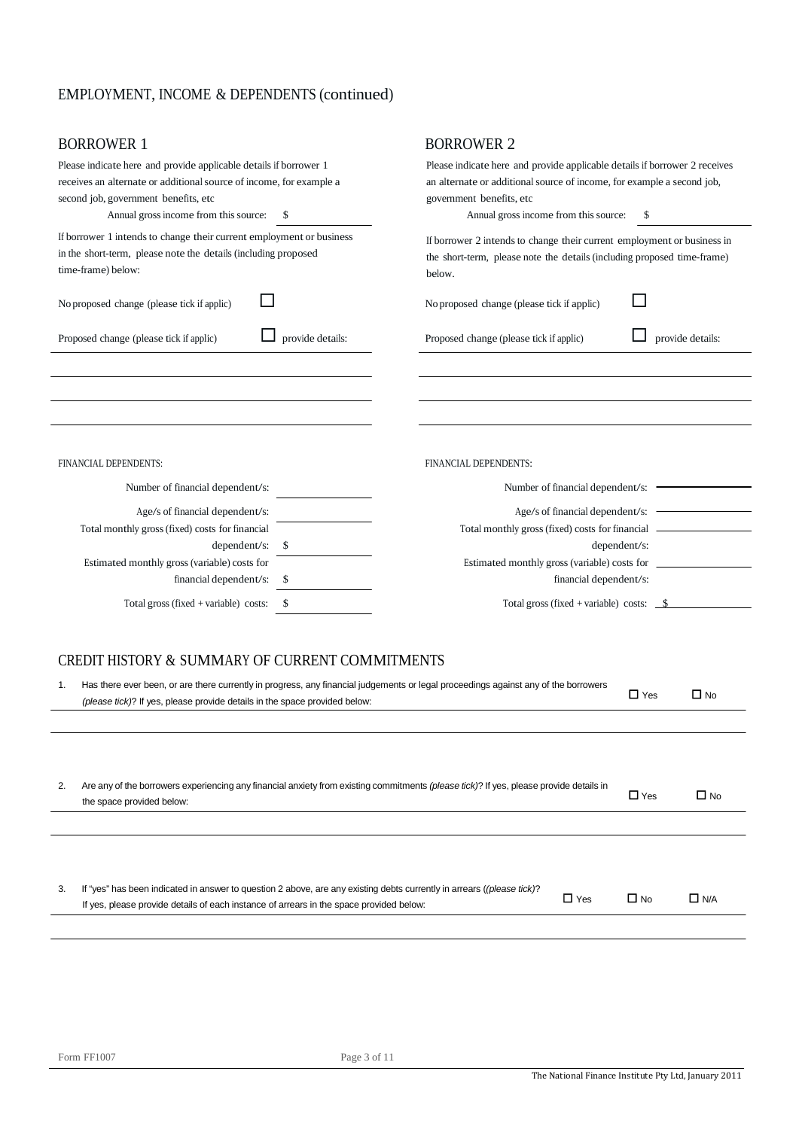# EMPLOYMENT, INCOME & DEPENDENTS (continued)

| <b>BORROWER 1</b>                                                                                                                                                                                                         |                  | <b>BORROWER 2</b>                                                                                                                                                                                                               |                         |  |  |  |  |
|---------------------------------------------------------------------------------------------------------------------------------------------------------------------------------------------------------------------------|------------------|---------------------------------------------------------------------------------------------------------------------------------------------------------------------------------------------------------------------------------|-------------------------|--|--|--|--|
| Please indicate here and provide applicable details if borrower 1<br>receives an alternate or additional source of income, for example a<br>second job, government benefits, etc<br>Annual gross income from this source: | \$               | Please indicate here and provide applicable details if borrower 2 receives<br>an alternate or additional source of income, for example a second job,<br>government benefits, etc<br>Annual gross income from this source:<br>\$ |                         |  |  |  |  |
| If borrower 1 intends to change their current employment or business<br>in the short-term, please note the details (including proposed<br>time-frame) below:                                                              |                  | If borrower 2 intends to change their current employment or business in<br>the short-term, please note the details (including proposed time-frame)<br>below.                                                                    |                         |  |  |  |  |
| No proposed change (please tick if applic)                                                                                                                                                                                |                  | No proposed change (please tick if applic)                                                                                                                                                                                      |                         |  |  |  |  |
| Proposed change (please tick if applic)                                                                                                                                                                                   | provide details: | Proposed change (please tick if applic)                                                                                                                                                                                         | provide details:        |  |  |  |  |
|                                                                                                                                                                                                                           |                  |                                                                                                                                                                                                                                 |                         |  |  |  |  |
|                                                                                                                                                                                                                           |                  |                                                                                                                                                                                                                                 |                         |  |  |  |  |
|                                                                                                                                                                                                                           |                  |                                                                                                                                                                                                                                 |                         |  |  |  |  |
|                                                                                                                                                                                                                           |                  |                                                                                                                                                                                                                                 |                         |  |  |  |  |
| FINANCIAL DEPENDENTS:                                                                                                                                                                                                     |                  | FINANCIAL DEPENDENTS:                                                                                                                                                                                                           |                         |  |  |  |  |
| Number of financial dependent/s:                                                                                                                                                                                          |                  | Number of financial dependent/s: -                                                                                                                                                                                              |                         |  |  |  |  |
| Age/s of financial dependent/s:                                                                                                                                                                                           |                  | Age/s of financial dependent/s: $\frac{ }{ }$                                                                                                                                                                                   |                         |  |  |  |  |
| Total monthly gross (fixed) costs for financial                                                                                                                                                                           |                  |                                                                                                                                                                                                                                 |                         |  |  |  |  |
| dependent/s:                                                                                                                                                                                                              | \$               | dependent/s:                                                                                                                                                                                                                    |                         |  |  |  |  |
| Estimated monthly gross (variable) costs for                                                                                                                                                                              |                  |                                                                                                                                                                                                                                 |                         |  |  |  |  |
| financial dependent/s:                                                                                                                                                                                                    | \$               | financial dependent/s:                                                                                                                                                                                                          |                         |  |  |  |  |
| Total gross (fixed + variable) costs:                                                                                                                                                                                     | \$               | Total gross (fixed + variable) costs: $\frac{\$}{\$}$                                                                                                                                                                           |                         |  |  |  |  |
|                                                                                                                                                                                                                           |                  |                                                                                                                                                                                                                                 |                         |  |  |  |  |
| CREDIT HISTORY & SUMMARY OF CURRENT COMMITMENTS                                                                                                                                                                           |                  |                                                                                                                                                                                                                                 |                         |  |  |  |  |
| Has there ever been, or are there currently in progress, any financial judgements or legal proceedings against any of the borrowers<br>1.<br>(please tick)? If yes, please provide details in the space provided below:   |                  |                                                                                                                                                                                                                                 | $\Box$ Yes<br>$\Box$ No |  |  |  |  |

| 2. | Are any of the borrowers experiencing any financial anxiety from existing commitments (please tick)? If yes, please provide details in<br>the space provided below:                                               | $\Box$ Yes | $\Box$ No |            |
|----|-------------------------------------------------------------------------------------------------------------------------------------------------------------------------------------------------------------------|------------|-----------|------------|
|    |                                                                                                                                                                                                                   |            |           |            |
|    |                                                                                                                                                                                                                   |            |           |            |
| 3. | If "yes" has been indicated in answer to question 2 above, are any existing debts currently in arrears ((please tick)?<br>If yes, please provide details of each instance of arrears in the space provided below: | $\Box$ Yes | $\Box$ No | $\Box$ N/A |

 $\overline{a}$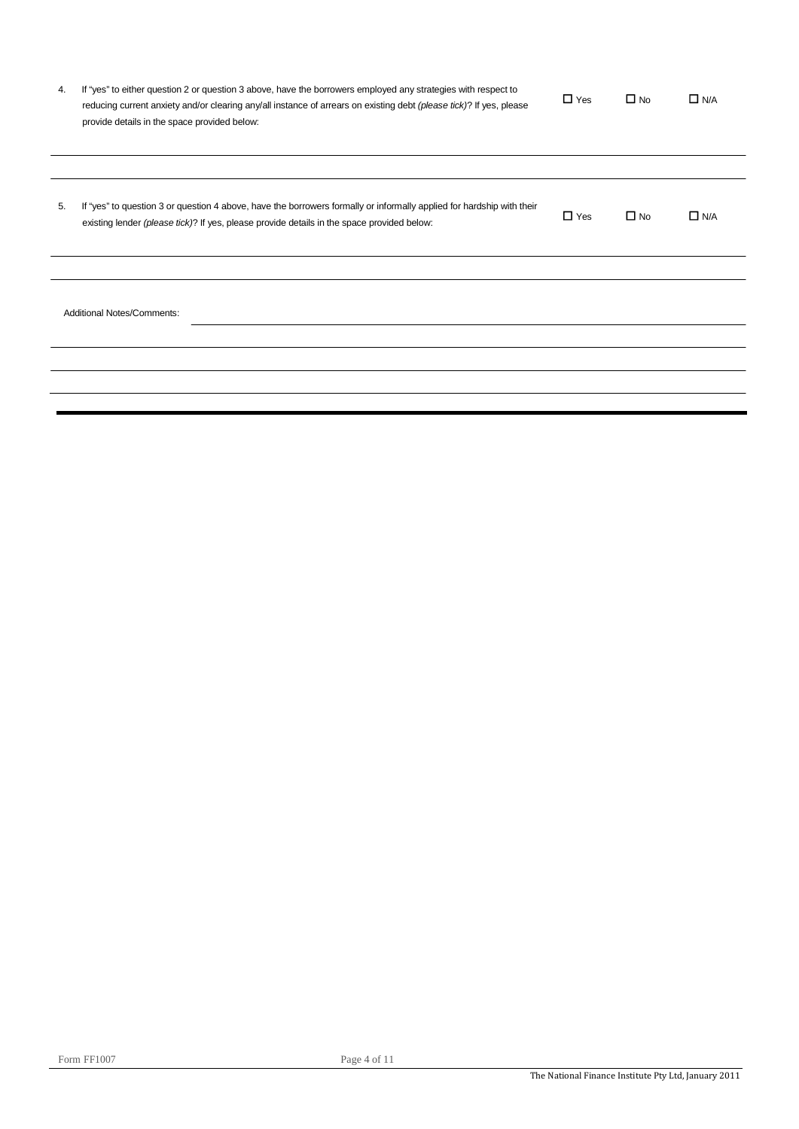| If "yes" to either question 2 or question 3 above, have the borrowers employed any strategies with respect to<br>reducing current anxiety and/or clearing any/all instance of arrears on existing debt (please tick)? If yes, please<br>provide details in the space provided below: | $\Box$ Yes                        | $\Box$ No | $\Box$ N/A    |
|--------------------------------------------------------------------------------------------------------------------------------------------------------------------------------------------------------------------------------------------------------------------------------------|-----------------------------------|-----------|---------------|
| If "yes" to question 3 or question 4 above, have the borrowers formally or informally applied for hardship with their<br>existing lender (please tick)? If yes, please provide details in the space provided below:                                                                  | $\Box$ Yes                        | $\Box$ No | $\square$ N/A |
|                                                                                                                                                                                                                                                                                      |                                   |           |               |
|                                                                                                                                                                                                                                                                                      |                                   |           |               |
|                                                                                                                                                                                                                                                                                      |                                   |           |               |
|                                                                                                                                                                                                                                                                                      |                                   |           |               |
|                                                                                                                                                                                                                                                                                      |                                   |           |               |
|                                                                                                                                                                                                                                                                                      | <b>Additional Notes/Comments:</b> |           |               |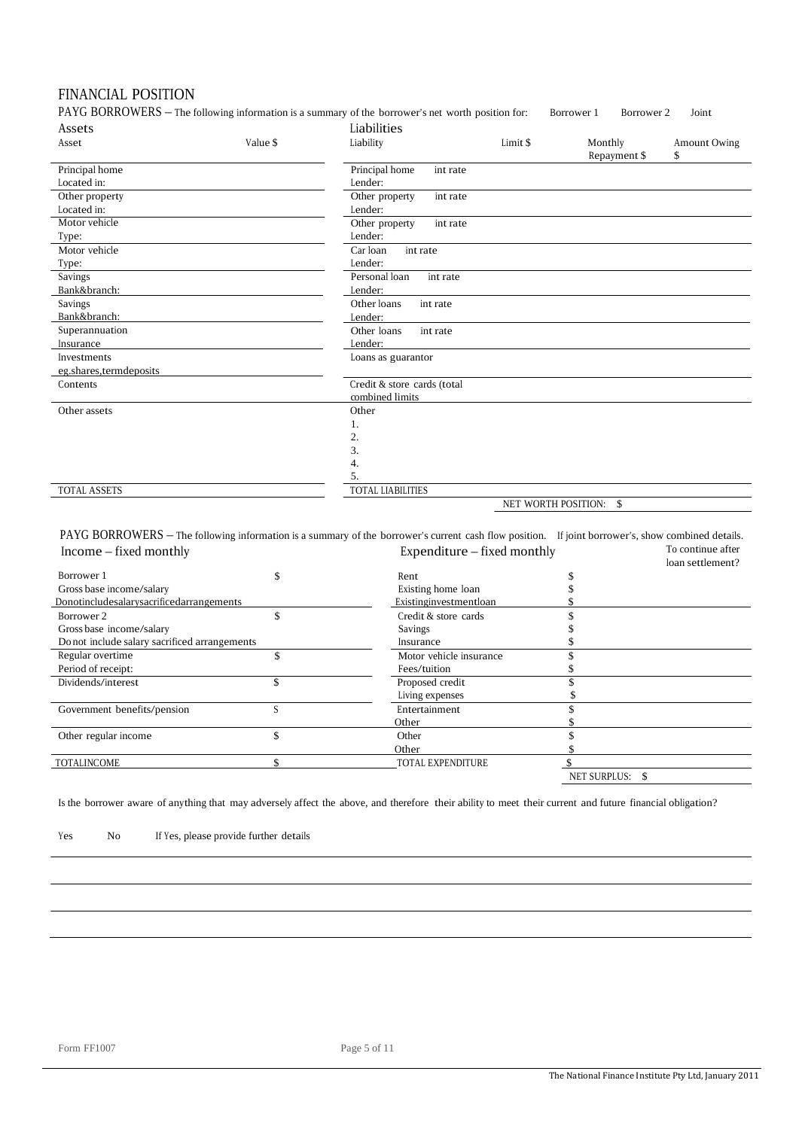## FINANCIAL POSITION

PAYG BORROWERS – The following information is a summary of the borrower's net worth position for: Borrower 1 Borrower 2 Joint Assets Liabilities

| ASSULS                 |          | Liaulitics                  |                     |              |              |
|------------------------|----------|-----------------------------|---------------------|--------------|--------------|
| Asset                  | Value \$ | Liability                   | Limit \$            | Monthly      | Amount Owing |
|                        |          |                             |                     | Repayment \$ | \$           |
| Principal home         |          | Principal home<br>int rate  |                     |              |              |
| Located in:            |          | Lender:                     |                     |              |              |
| Other property         |          | int rate<br>Other property  |                     |              |              |
| Located in:            |          | Lender:                     |                     |              |              |
| Motor vehicle          |          | Other property<br>int rate  |                     |              |              |
| Type:                  |          | Lender:                     |                     |              |              |
| Motor vehicle          |          | Car loan<br>int rate        |                     |              |              |
| Type:                  |          | Lender:                     |                     |              |              |
| Savings                |          | Personal loan<br>int rate   |                     |              |              |
| Bank&branch:           |          | Lender:                     |                     |              |              |
| Savings                |          | Other loans<br>int rate     |                     |              |              |
| Bank&branch:           |          | Lender:                     |                     |              |              |
| Superannuation         |          | Other loans<br>int rate     |                     |              |              |
| Insurance              |          | Lender:                     |                     |              |              |
| Investments            |          | Loans as guarantor          |                     |              |              |
| eg.shares,termdeposits |          |                             |                     |              |              |
| Contents               |          | Credit & store cards (total |                     |              |              |
|                        |          | combined limits             |                     |              |              |
| Other assets           |          | Other                       |                     |              |              |
|                        |          | 1.                          |                     |              |              |
|                        |          | 2.                          |                     |              |              |
|                        |          | 3.                          |                     |              |              |
|                        |          | 4.                          |                     |              |              |
|                        |          | 5.                          |                     |              |              |
| TOTAL ASSETS           |          | <b>TOTAL LIABILITIES</b>    |                     |              |              |
|                        |          |                             | NET WORTH POSITION: | \$           |              |

PAYG BORROWERS – The following information is a summary of the borrower's current cash flow position. If joint borrower's, show combined details.<br> **Expenditure** – fixed monthly **the continue** after Expenditure – fixed monthly

| $m$ $\sim$ $m$ $\sim$ $m$ $\sim$ $m$          | $L$ <sub>A</sub> $P$ C <sub>1</sub> , $L$ <sub>1</sub> , $L$ <sub>1</sub> , $L$ <sub>1</sub> , $L$ <sub>1</sub> , $L$ <sub>1</sub> , $L$ <sub>1</sub> , $L$ <sub>1</sub> , $L$ <sub>1</sub> , $L$ <sub>1</sub> , $L$ <sub>1</sub> , $L$ <sub>1</sub> , $L$ <sub>1</sub> , $L$ <sub>1</sub> , $L$ <sub>1</sub> , $L$ <sub>1</sub> , $L$ <sub>1</sub> , $L$ <sub>1</sub> , $L$ <sub>1</sub> , $L$ <sub>1</sub> , $L$ <sub>1</sub> , $L$ <sub>1</sub> , $L$ <sub>1</sub> , $L$ <sub>1</sub> , $L$ <sub>1</sub> , $L$ <sub>1</sub> , $L$ <sub>1</sub> |              | loan settlement? |
|-----------------------------------------------|---------------------------------------------------------------------------------------------------------------------------------------------------------------------------------------------------------------------------------------------------------------------------------------------------------------------------------------------------------------------------------------------------------------------------------------------------------------------------------------------------------------------------------------------------|--------------|------------------|
| Borrower 1                                    | Rent                                                                                                                                                                                                                                                                                                                                                                                                                                                                                                                                              |              |                  |
| Gross base income/salary                      | Existing home loan                                                                                                                                                                                                                                                                                                                                                                                                                                                                                                                                |              |                  |
| Donotincludesalarysacrificedarrangements      | Existinginvestmentloan                                                                                                                                                                                                                                                                                                                                                                                                                                                                                                                            |              |                  |
| Borrower 2                                    | Credit & store cards                                                                                                                                                                                                                                                                                                                                                                                                                                                                                                                              |              |                  |
| Gross base income/salary                      | Savings                                                                                                                                                                                                                                                                                                                                                                                                                                                                                                                                           |              |                  |
| Do not include salary sacrificed arrangements | Insurance                                                                                                                                                                                                                                                                                                                                                                                                                                                                                                                                         |              |                  |
| Regular overtime                              | Motor vehicle insurance                                                                                                                                                                                                                                                                                                                                                                                                                                                                                                                           |              |                  |
| Period of receipt:                            | Fees/tuition                                                                                                                                                                                                                                                                                                                                                                                                                                                                                                                                      |              |                  |
| Dividends/interest                            | Proposed credit                                                                                                                                                                                                                                                                                                                                                                                                                                                                                                                                   |              |                  |
|                                               | Living expenses                                                                                                                                                                                                                                                                                                                                                                                                                                                                                                                                   |              |                  |
| Government benefits/pension                   | Entertainment                                                                                                                                                                                                                                                                                                                                                                                                                                                                                                                                     |              |                  |
|                                               | Other                                                                                                                                                                                                                                                                                                                                                                                                                                                                                                                                             |              |                  |
| Other regular income                          | Other                                                                                                                                                                                                                                                                                                                                                                                                                                                                                                                                             |              |                  |
|                                               | Other                                                                                                                                                                                                                                                                                                                                                                                                                                                                                                                                             |              |                  |
| <b>TOTALINCOME</b>                            | TOTAL EXPENDITURE                                                                                                                                                                                                                                                                                                                                                                                                                                                                                                                                 |              |                  |
|                                               |                                                                                                                                                                                                                                                                                                                                                                                                                                                                                                                                                   | NET SURPLUS: | -S               |

Is the borrower aware of anything that may adversely affect the above, and therefore their ability to meet their current and future financial obligation?

Yes No If Yes, please provide further details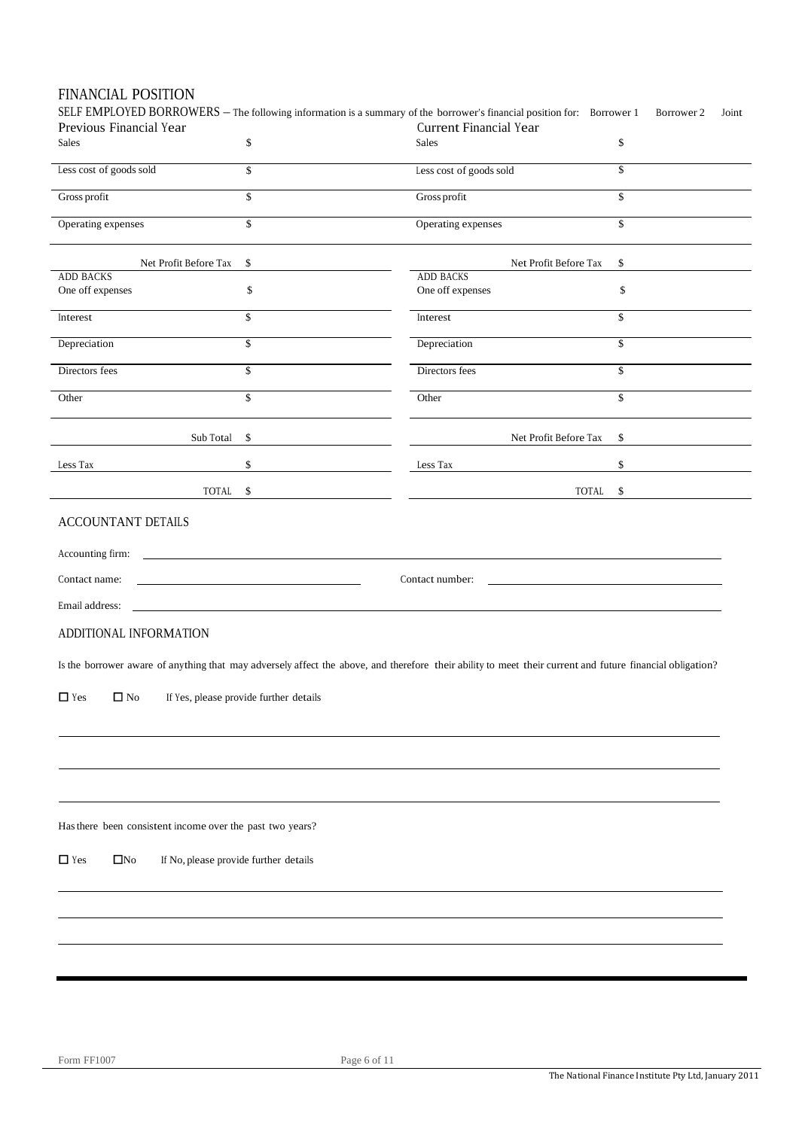| Previous Financial Year<br>Sales                          | \$                                                                                                                    | SELF EMPLOYED BORROWERS - The following information is a summary of the borrower's financial position for: Borrower 1<br><b>Current Financial Year</b><br>Sales | Borrower 2<br>\$        |
|-----------------------------------------------------------|-----------------------------------------------------------------------------------------------------------------------|-----------------------------------------------------------------------------------------------------------------------------------------------------------------|-------------------------|
|                                                           |                                                                                                                       |                                                                                                                                                                 |                         |
| Less cost of goods sold                                   | \$                                                                                                                    | Less cost of goods sold                                                                                                                                         | $\mathsf{\$}$           |
| Gross profit                                              | \$                                                                                                                    | Gross profit                                                                                                                                                    | $\mathsf{\$}$           |
| Operating expenses                                        | \$                                                                                                                    | Operating expenses                                                                                                                                              | $\overline{\mathbb{S}}$ |
| Net Profit Before Tax                                     | \$                                                                                                                    | Net Profit Before Tax                                                                                                                                           | \$                      |
| <b>ADD BACKS</b>                                          |                                                                                                                       | <b>ADD BACKS</b>                                                                                                                                                |                         |
| One off expenses                                          | \$                                                                                                                    | One off expenses                                                                                                                                                | \$                      |
| Interest                                                  | \$                                                                                                                    | Interest                                                                                                                                                        | $\mathbb{S}$            |
| Depreciation                                              | $\mathbf{\hat{S}}$                                                                                                    | Depreciation                                                                                                                                                    | $\mathbf{\hat{S}}$      |
| Directors fees                                            | \$                                                                                                                    | Directors fees                                                                                                                                                  | $\overline{\mathbf{s}}$ |
| Other                                                     | \$                                                                                                                    | Other                                                                                                                                                           | \$                      |
|                                                           | \$<br>Sub Total                                                                                                       | Net Profit Before Tax                                                                                                                                           | \$                      |
| Less Tax                                                  | \$                                                                                                                    | Less Tax                                                                                                                                                        | \$                      |
|                                                           | TOTAL<br>\$                                                                                                           | TOTAL                                                                                                                                                           | \$                      |
| Contact name:<br>Email address:                           | <u> 1980 - Johann Barbara, martin amerikan basal dan berasal dalam basal dalam basal dalam basal dalam basal dala</u> | Contact number:                                                                                                                                                 |                         |
|                                                           |                                                                                                                       |                                                                                                                                                                 |                         |
|                                                           |                                                                                                                       |                                                                                                                                                                 |                         |
| $\Box$ No                                                 | If Yes, please provide further details                                                                                | Is the borrower aware of anything that may adversely affect the above, and therefore their ability to meet their current and future financial obligation?       |                         |
| ADDITIONAL INFORMATION<br>$\Box$ Yes                      |                                                                                                                       |                                                                                                                                                                 |                         |
| Has there been consistent income over the past two years? |                                                                                                                       |                                                                                                                                                                 |                         |
| $\Box$ Yes<br>$\square$ No                                | If No, please provide further details                                                                                 |                                                                                                                                                                 |                         |
|                                                           |                                                                                                                       |                                                                                                                                                                 |                         |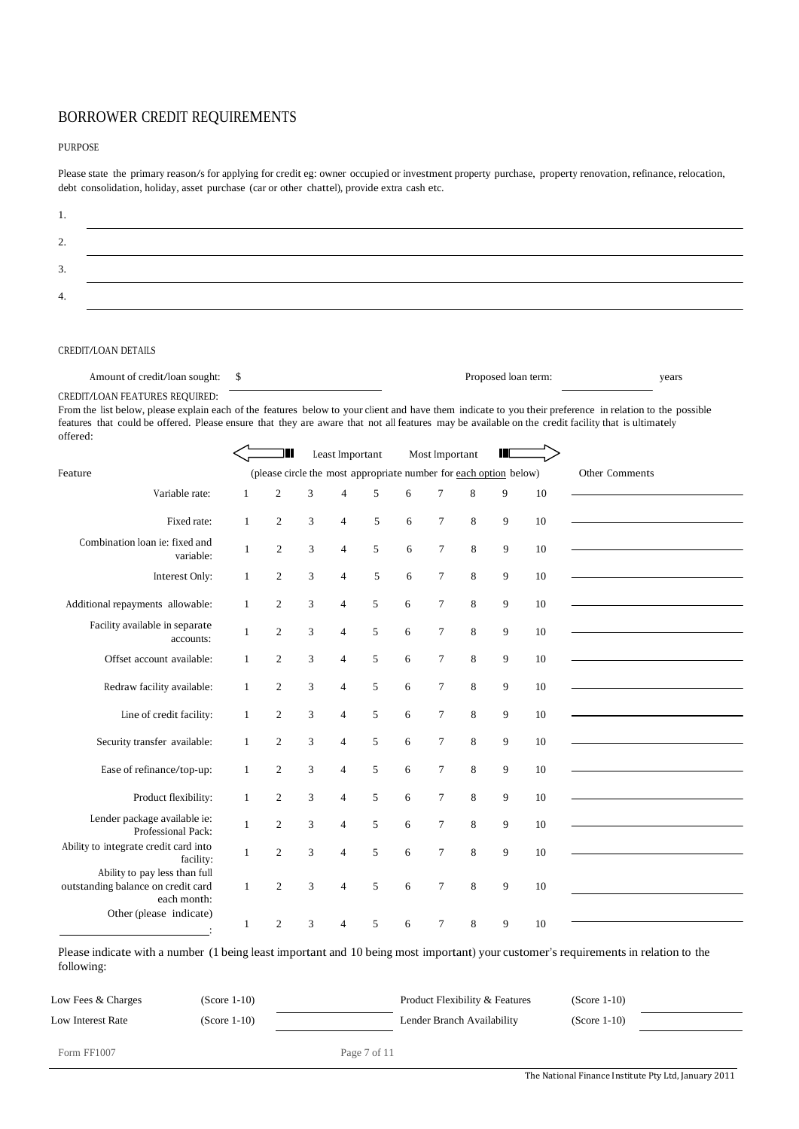## BORROWER CREDIT REQUIREMENTS

#### PURPOSE

Please state the primary reason/s for applying for credit eg: owner occupied or investment property purchase, property renovation, refinance, relocation, debt consolidation, holiday, asset purchase (car or other chattel), provide extra cash etc.

| <u>.</u> |  |
|----------|--|
| <u>.</u> |  |
|          |  |
|          |  |

#### CREDIT/LOAN DETAILS

Amount of credit/loan sought: \$ Proposed loan term: years

CREDIT/LOAN FEATURES REQUIRED:

From the list below, please explain each of the features below to your client and have them indicate to you their preference in relation to the possible features that could be offered. Please ensure that they are aware that not all features may be available on the credit facility that is ultimately offered:

|                                                                                    |              |                |   | Least Important |   |   | Most Important |   | Ш                                                                 |    |                |
|------------------------------------------------------------------------------------|--------------|----------------|---|-----------------|---|---|----------------|---|-------------------------------------------------------------------|----|----------------|
| Feature                                                                            |              |                |   |                 |   |   |                |   | (please circle the most appropriate number for each option below) |    | Other Comments |
| Variable rate:                                                                     | 1            | $\overline{c}$ | 3 | $\overline{4}$  | 5 | 6 | $\tau$         | 8 | $\mathbf{Q}$                                                      | 10 |                |
| Fixed rate:                                                                        | $\mathbf{1}$ | $\overline{2}$ | 3 | $\overline{4}$  | 5 | 6 | $\overline{7}$ | 8 | 9                                                                 | 10 |                |
| Combination loan ie: fixed and<br>variable:                                        | 1            | $\overline{2}$ | 3 | $\overline{4}$  | 5 | 6 | $\overline{7}$ | 8 | 9                                                                 | 10 |                |
| Interest Only:                                                                     | $\mathbf{1}$ | $\overline{2}$ | 3 | $\overline{4}$  | 5 | 6 | $\overline{7}$ | 8 | 9                                                                 | 10 |                |
| Additional repayments allowable:                                                   | $\mathbf{1}$ | $\mathfrak{2}$ | 3 | $\overline{4}$  | 5 | 6 | $\overline{7}$ | 8 | 9                                                                 | 10 |                |
| Facility available in separate<br>accounts:                                        | $\mathbf{1}$ | $\overline{c}$ | 3 | $\overline{4}$  | 5 | 6 | $\tau$         | 8 | 9                                                                 | 10 |                |
| Offset account available:                                                          | $\mathbf{1}$ | $\mathfrak{2}$ | 3 | $\overline{4}$  | 5 | 6 | $\overline{7}$ | 8 | 9                                                                 | 10 |                |
|                                                                                    | $\mathbf{1}$ | $\overline{2}$ | 3 | $\overline{4}$  | 5 | 6 | $\tau$         | 8 | 9                                                                 | 10 |                |
| Redraw facility available:                                                         |              |                |   |                 |   |   |                |   |                                                                   |    |                |
| Line of credit facility:                                                           | $\mathbf{1}$ | $\overline{2}$ | 3 | $\overline{4}$  | 5 | 6 | $\overline{7}$ | 8 | 9                                                                 | 10 |                |
| Security transfer available:                                                       | $\mathbf{1}$ | $\overline{2}$ | 3 | $\overline{4}$  | 5 | 6 | $\overline{7}$ | 8 | 9                                                                 | 10 |                |
| Ease of refinance/top-up:                                                          | $\mathbf{1}$ | $\mathfrak{2}$ | 3 | $\overline{4}$  | 5 | 6 | $\tau$         | 8 | 9                                                                 | 10 |                |
| Product flexibility:                                                               | $\mathbf{1}$ | $\overline{c}$ | 3 | $\overline{4}$  | 5 | 6 | $\overline{7}$ | 8 | 9                                                                 | 10 |                |
|                                                                                    |              |                |   |                 |   |   |                |   |                                                                   |    |                |
| Lender package available ie:<br>Professional Pack:                                 | $\mathbf{1}$ | $\mathfrak{2}$ | 3 | $\overline{4}$  | 5 | 6 | $\overline{7}$ | 8 | 9                                                                 | 10 |                |
| Ability to integrate credit card into<br>facility:                                 | $\mathbf{1}$ | $\overline{c}$ | 3 | $\overline{4}$  | 5 | 6 | $\overline{7}$ | 8 | 9                                                                 | 10 |                |
| Ability to pay less than full<br>outstanding balance on credit card<br>each month: | $\mathbf{1}$ | $\overline{c}$ | 3 | $\overline{4}$  | 5 | 6 | $\overline{7}$ | 8 | 9                                                                 | 10 |                |
| Other (please indicate)                                                            | $\mathbf{1}$ | $\overline{2}$ | 3 | $\overline{4}$  | 5 | 6 | $\tau$         | 8 | 9                                                                 | 10 |                |

Please indicate with a number (1 being least important and 10 being most important) your customer's requirements in relation to the following:

| Low Fees & Charges | (Score 1-10)   |              | Product Flexibility & Features | $(Score 1-10)$ |  |
|--------------------|----------------|--------------|--------------------------------|----------------|--|
| Low Interest Rate  | $(Score 1-10)$ |              | Lender Branch Availability     | $(Score 1-10)$ |  |
| Form FF1007        |                | Page 7 of 11 |                                |                |  |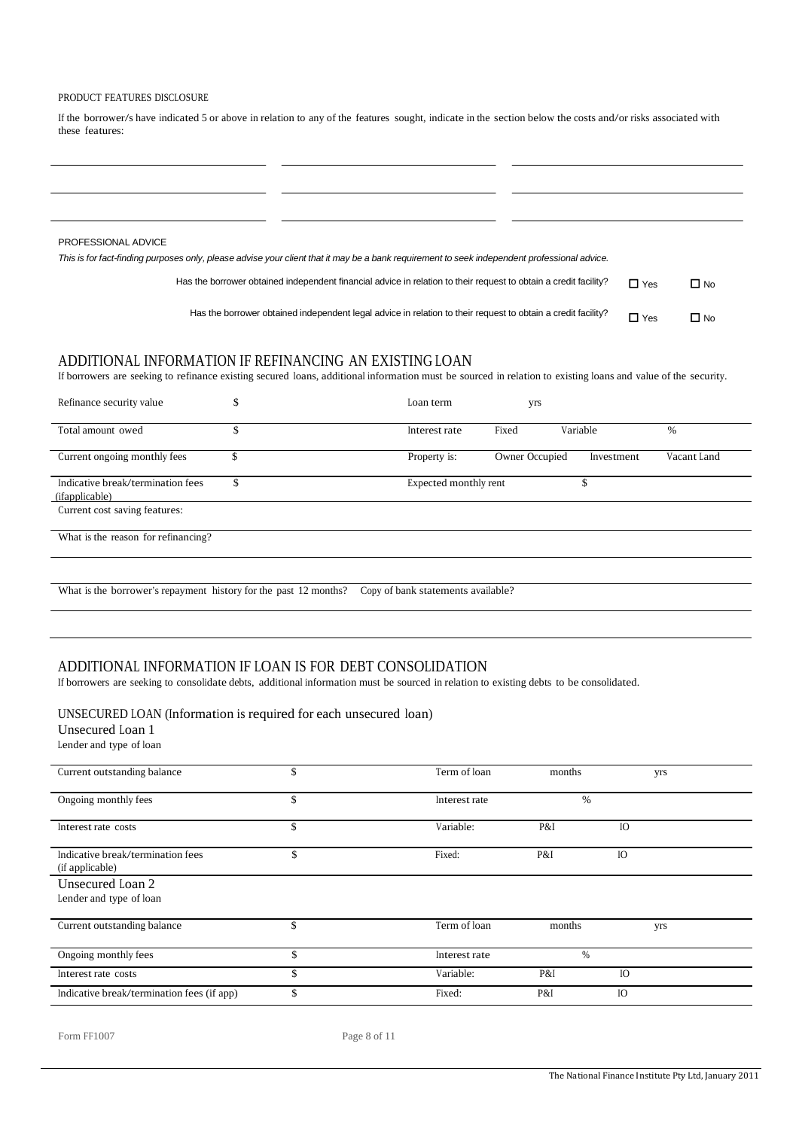#### PRODUCT FEATURES DISCLOSURE

If the borrower/s have indicated 5 or above in relation to any of the features sought, indicate in the section below the costs and/or risks associated with these features:

| PROFESSIONAL ADVICE |                                                                                                                                              |            |              |
|---------------------|----------------------------------------------------------------------------------------------------------------------------------------------|------------|--------------|
|                     | This is for fact-finding purposes only, please advise your client that it may be a bank requirement to seek independent professional advice. |            |              |
|                     | Has the borrower obtained independent financial advice in relation to their request to obtain a credit facility?                             | $\Box$ Yes | $\square$ No |
|                     | Has the borrower obtained independent legal advice in relation to their request to obtain a credit facility?                                 | $\Box$ Yes | $\Box$ No    |

## ADDITIONAL INFORMATION IF REFINANCING AN EXISTING LOAN

If borrowers are seeking to refinance existing secured loans, additional information must be sourced in relation to existing loans and value of the security.

| Refinance security value                                         | \$ | Loan term                          | yrs            |            |             |
|------------------------------------------------------------------|----|------------------------------------|----------------|------------|-------------|
| Total amount owed                                                | \$ | Interest rate                      | Fixed          | Variable   | $\%$        |
| Current ongoing monthly fees                                     | J. | Property is:                       | Owner Occupied | Investment | Vacant Land |
| Indicative break/termination fees<br>( <i>ifapplicable</i> )     | \$ | Expected monthly rent              |                | \$         |             |
| Current cost saving features:                                    |    |                                    |                |            |             |
| What is the reason for refinancing?                              |    |                                    |                |            |             |
|                                                                  |    |                                    |                |            |             |
| What is the borrower's repayment history for the past 12 months? |    | Copy of bank statements available? |                |            |             |

# ADDITIONAL INFORMATION IF LOAN IS FOR DEBT CONSOLIDATION

If borrowers are seeking to consolidate debts, additional information must be sourced in relation to existing debts to be consolidated.

#### UNSECURED LOAN (Information is required for each unsecured loan)

Unsecured Loan 1

Lender and type of loan

| Current outstanding balance                          | \$ | Term of loan  | months        | yrs |
|------------------------------------------------------|----|---------------|---------------|-----|
| Ongoing monthly fees                                 | \$ | Interest rate | $\frac{0}{0}$ |     |
| Interest rate costs                                  | \$ | Variable:     | P&I           | IO  |
| Indicative break/termination fees<br>(if applicable) | \$ | Fixed:        | P&I           | IO  |
| Unsecured Loan 2                                     |    |               |               |     |
| Lender and type of loan                              |    |               |               |     |
| Current outstanding balance                          | \$ | Term of loan  | months        | yrs |
| Ongoing monthly fees                                 | ď  | Interest rate | $\%$          |     |
| Interest rate costs                                  | \$ | Variable:     | P&I           | IO  |
| Indicative break/termination fees (if app)           | \$ | Fixed:        | P&I           | IO  |

Form FF1007 Page 8 of 11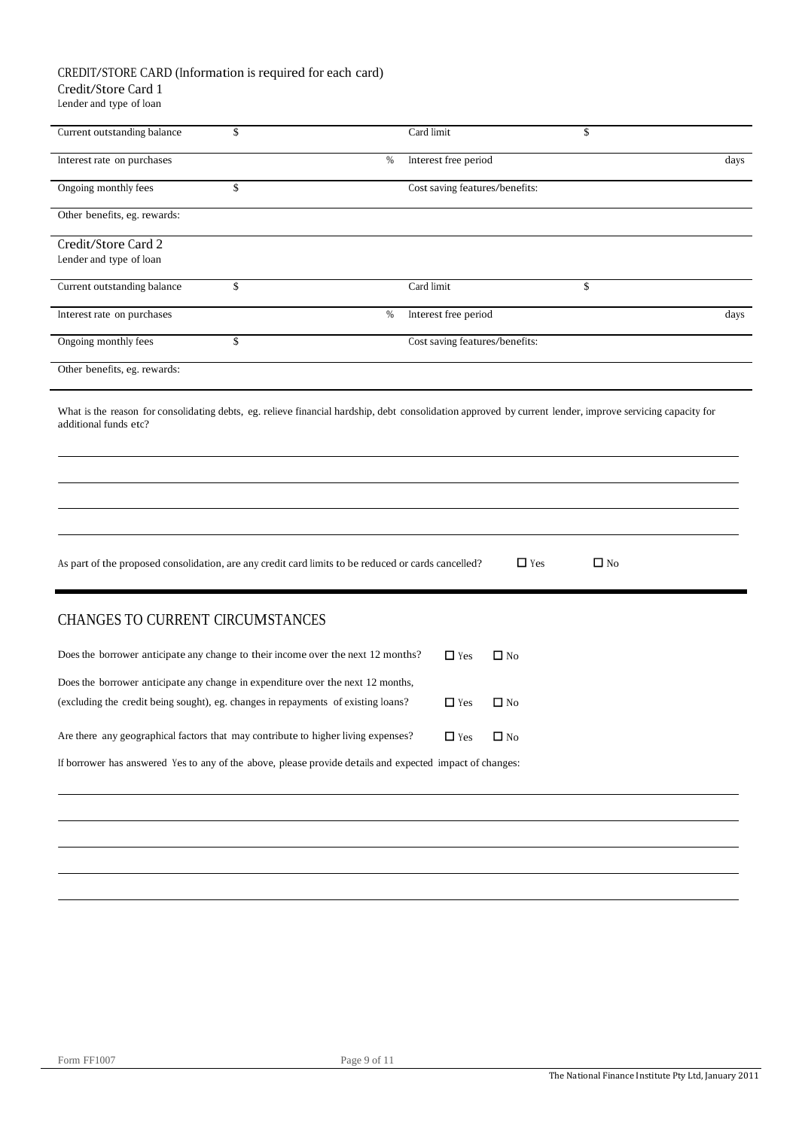## CREDIT/STORE CARD (Information is required for each card) Credit/Store Card 1

Lender and type of loan

| Current outstanding balance                                                                              | \$   | Card limit                     |              | \$           |      |
|----------------------------------------------------------------------------------------------------------|------|--------------------------------|--------------|--------------|------|
| Interest rate on purchases                                                                               | %    | Interest free period           |              |              | days |
| Ongoing monthly fees                                                                                     | \$   | Cost saving features/benefits: |              |              |      |
| Other benefits, eg. rewards:                                                                             |      |                                |              |              |      |
| Credit/Store Card 2<br>Lender and type of loan                                                           |      |                                |              |              |      |
| Current outstanding balance                                                                              | \$   | Card limit                     |              | \$           |      |
| Interest rate on purchases                                                                               | $\%$ | Interest free period           |              |              | days |
| Ongoing monthly fees                                                                                     | \$   | Cost saving features/benefits: |              |              |      |
| Other benefits, eg. rewards:                                                                             |      |                                |              |              |      |
| As part of the proposed consolidation, are any credit card limits to be reduced or cards cancelled?      |      |                                | $\Box$ Yes   | $\square$ No |      |
| CHANGES TO CURRENT CIRCUMSTANCES                                                                         |      |                                |              |              |      |
| Does the borrower anticipate any change to their income over the next 12 months?                         |      | $\Box$ Yes                     | $\Box$ No    |              |      |
| Does the borrower anticipate any change in expenditure over the next 12 months,                          |      |                                |              |              |      |
| (excluding the credit being sought), eg. changes in repayments of existing loans?                        |      | $\Box$ Yes                     | $\square$ No |              |      |
| Are there any geographical factors that may contribute to higher living expenses?                        |      | $\Box$ Yes                     | $\Box$ No    |              |      |
| If borrower has answered Yes to any of the above, please provide details and expected impact of changes: |      |                                |              |              |      |
|                                                                                                          |      |                                |              |              |      |
|                                                                                                          |      |                                |              |              |      |
|                                                                                                          |      |                                |              |              |      |
|                                                                                                          |      |                                |              |              |      |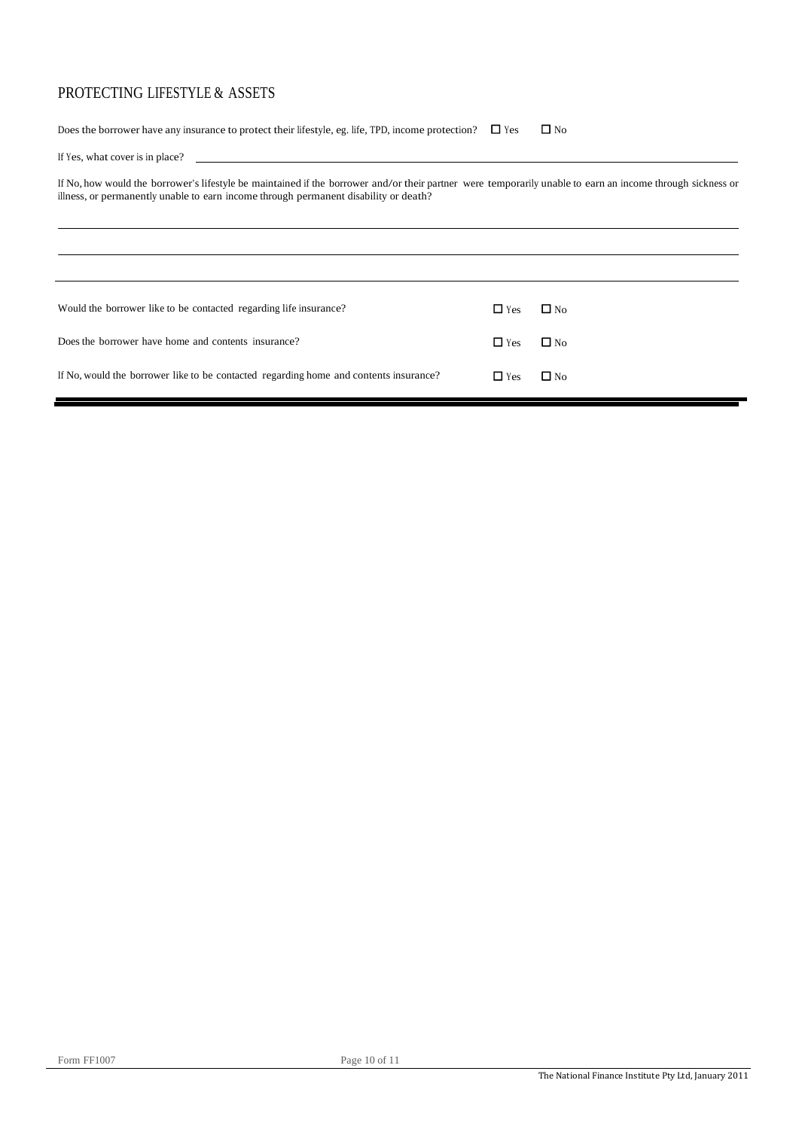## PROTECTING LIFESTYLE & ASSETS

Does the borrower have any insurance to protect their lifestyle, eg. life, TPD, income protection?  $\Box$  Yes  $\Box$  No

|  |  |  | If Yes, what cover is in place? |
|--|--|--|---------------------------------|
|  |  |  |                                 |

If No, how would the borrower's lifestyle be maintained if the borrower and/or their partner were temporarily unable to earn an income through sickness or illness, or permanently unable to earn income through permanent disability or death?

| Would the borrower like to be contacted regarding life insurance?                     | $\Box$ Yes | $\Box$ No    |
|---------------------------------------------------------------------------------------|------------|--------------|
| Does the borrower have home and contents insurance?                                   | $\Box$ Yes | $\square$ No |
| If No, would the borrower like to be contacted regarding home and contents insurance? | $\Box$ Yes | $\Box$ No    |